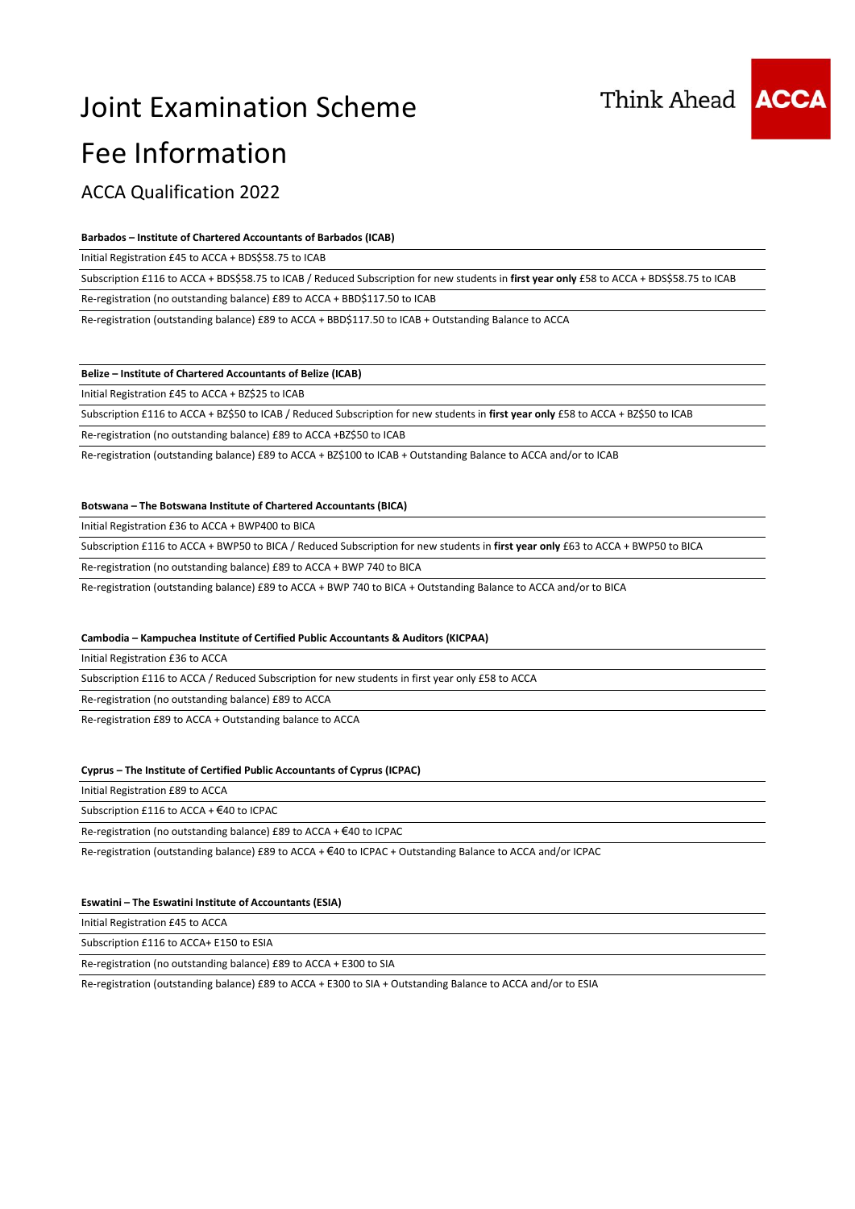



### ACCA Qualification 2022

#### **Barbados – Institute of Chartered Accountants of Barbados (ICAB)**

Initial Registration £45 to ACCA + BDS\$58.75 to ICAB

Subscription £116 to ACCA + BDS\$58.75 to ICAB / Reduced Subscription for new students in **first year only** £58 to ACCA + BDS\$58.75 to ICAB

Re-registration (no outstanding balance) £89 to ACCA + BBD\$117.50 to ICAB

Re-registration (outstanding balance) £89 to ACCA + BBD\$117.50 to ICAB + Outstanding Balance to ACCA

#### **Belize – Institute of Chartered Accountants of Belize (ICAB)**

Initial Registration £45 to ACCA + BZ\$25 to ICAB

Subscription £116 to ACCA + BZ\$50 to ICAB / Reduced Subscription for new students in **first year only** £58 to ACCA + BZ\$50 to ICAB

Re-registration (no outstanding balance) £89 to ACCA +BZ\$50 to ICAB

Re-registration (outstanding balance) £89 to ACCA + BZ\$100 to ICAB + Outstanding Balance to ACCA and/or to ICAB

#### **Botswana – The Botswana Institute of Chartered Accountants (BICA)**

Initial Registration £36 to ACCA + BWP400 to BICA

Subscription £116 to ACCA + BWP50 to BICA / Reduced Subscription for new students in **first year only** £63 to ACCA + BWP50 to BICA

Re-registration (no outstanding balance) £89 to ACCA + BWP 740 to BICA

Re-registration (outstanding balance) £89 to ACCA + BWP 740 to BICA + Outstanding Balance to ACCA and/or to BICA

#### **Cambodia – Kampuchea Institute of Certified Public Accountants & Auditors (KICPAA)**

Initial Registration £36 to ACCA

Subscription £116 to ACCA / Reduced Subscription for new students in first year only £58 to ACCA

Re-registration (no outstanding balance) £89 to ACCA

Re-registration £89 to ACCA + Outstanding balance to ACCA

#### **Cyprus – The Institute of Certified Public Accountants of Cyprus (ICPAC)**

Initial Registration £89 to ACCA

Subscription £116 to ACCA + €40 to ICPAC

Re-registration (no outstanding balance) £89 to ACCA + €40 to ICPAC

Re-registration (outstanding balance) £89 to ACCA + €40 to ICPAC + Outstanding Balance to ACCA and/or ICPAC

#### **Eswatini – The Eswatini Institute of Accountants (ESIA)**

Initial Registration £45 to ACCA

Subscription £116 to ACCA+ E150 to ESIA

Re-registration (no outstanding balance) £89 to ACCA + E300 to SIA

Re-registration (outstanding balance) £89 to ACCA + E300 to SIA + Outstanding Balance to ACCA and/or to ESIA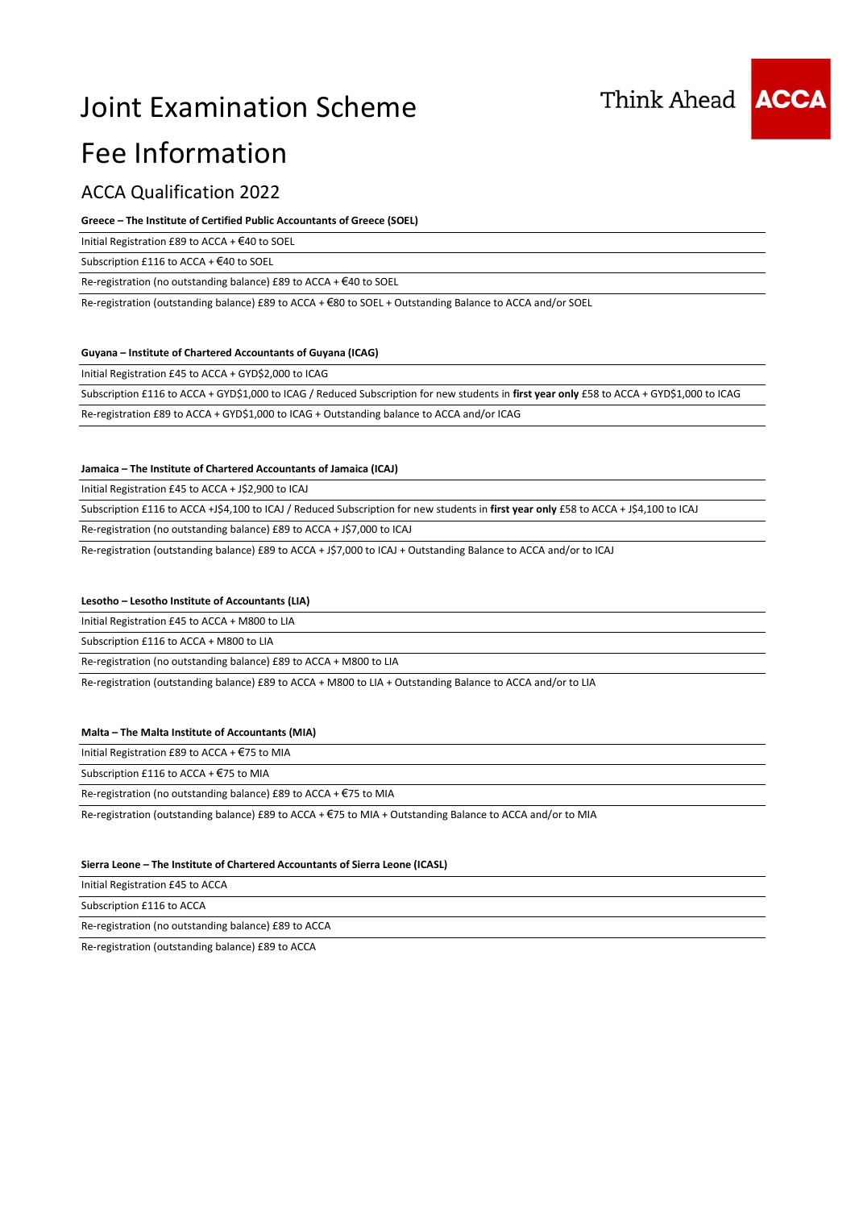## Joint Examination Scheme



# Fee Information

### ACCA Qualification 2022

#### **Greece – The Institute of Certified Public Accountants of Greece (SOEL)**

Initial Registration £89 to ACCA + €40 to SOEL

Subscription £116 to ACCA + €40 to SOEL

Re-registration (no outstanding balance) £89 to ACCA + €40 to SOEL

Re-registration (outstanding balance) £89 to ACCA + €80 to SOEL + Outstanding Balance to ACCA and/or SOEL

#### **Guyana – Institute of Chartered Accountants of Guyana (ICAG)**

Initial Registration £45 to ACCA + GYD\$2,000 to ICAG

Subscription £116 to ACCA + GYD\$1,000 to ICAG / Reduced Subscription for new students in **first year only** £58 to ACCA + GYD\$1,000 to ICAG

Re-registration £89 to ACCA + GYD\$1,000 to ICAG + Outstanding balance to ACCA and/or ICAG

#### **Jamaica – The Institute of Chartered Accountants of Jamaica (ICAJ)**

Initial Registration £45 to ACCA + J\$2,900 to ICAJ

Subscription £116 to ACCA +J\$4,100 to ICAJ / Reduced Subscription for new students in **first year only** £58 to ACCA + J\$4,100 to ICAJ

Re-registration (no outstanding balance) £89 to ACCA + J\$7,000 to ICAJ

Re-registration (outstanding balance) £89 to ACCA + J\$7,000 to ICAJ + Outstanding Balance to ACCA and/or to ICAJ

#### **Lesotho – Lesotho Institute of Accountants (LIA)**

Initial Registration £45 to ACCA + M800 to LIA

Subscription £116 to ACCA + M800 to LIA

Re-registration (no outstanding balance) £89 to ACCA + M800 to LIA

Re-registration (outstanding balance) £89 to ACCA + M800 to LIA + Outstanding Balance to ACCA and/or to LIA

#### **Malta – The Malta Institute of Accountants (MIA)**

Initial Registration £89 to ACCA + €75 to MIA

Subscription £116 to ACCA + €75 to MIA

Re-registration (no outstanding balance) £89 to ACCA + €75 to MIA

Re-registration (outstanding balance) £89 to ACCA + €75 to MIA + Outstanding Balance to ACCA and/or to MIA

#### **Sierra Leone – The Institute of Chartered Accountants of Sierra Leone (ICASL)**

Initial Registration £45 to ACCA

Subscription £116 to ACCA

Re-registration (no outstanding balance) £89 to ACCA

Re-registration (outstanding balance) £89 to ACCA